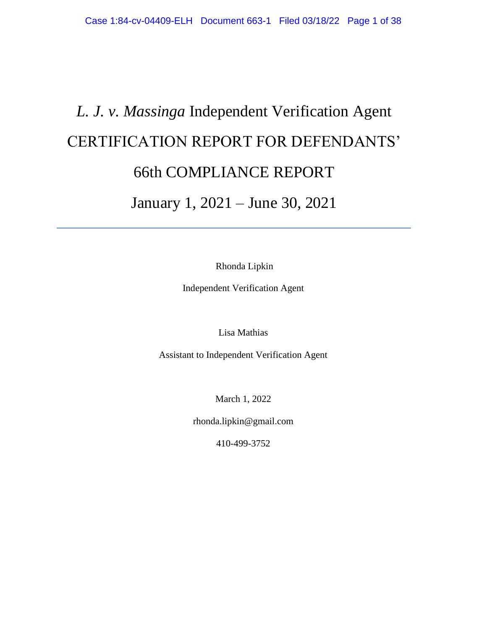# *L. J. v. Massinga* Independent Verification Agent CERTIFICATION REPORT FOR DEFENDANTS' 66th COMPLIANCE REPORT January 1, 2021 – June 30, 2021

Rhonda Lipkin

Independent Verification Agent

Lisa Mathias

Assistant to Independent Verification Agent

March 1, 2022

rhonda.lipkin@gmail.com

410-499-3752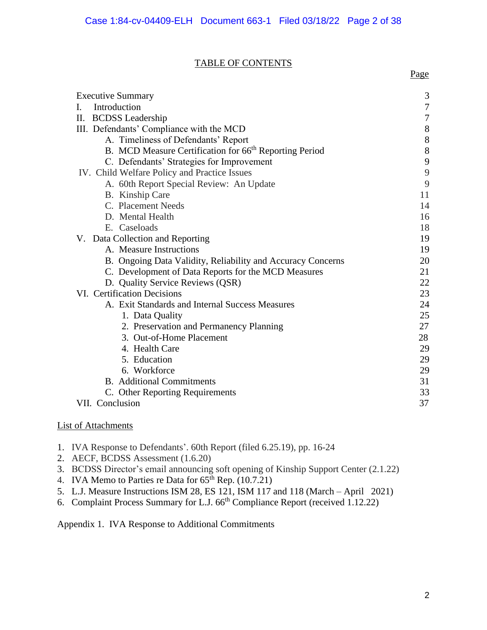## TABLE OF CONTENTS

| <b>Executive Summary</b>                                           | 3     |
|--------------------------------------------------------------------|-------|
| Introduction<br>L.                                                 | 7     |
| II. BCDSS Leadership                                               | 7     |
| III. Defendants' Compliance with the MCD                           | $8\,$ |
| A. Timeliness of Defendants' Report                                | 8     |
| B. MCD Measure Certification for 66 <sup>th</sup> Reporting Period | 8     |
| C. Defendants' Strategies for Improvement                          | 9     |
| IV. Child Welfare Policy and Practice Issues                       | 9     |
| A. 60th Report Special Review: An Update                           | 9     |
| B. Kinship Care                                                    | 11    |
| C. Placement Needs                                                 | 14    |
| D. Mental Health                                                   | 16    |
| E. Caseloads                                                       | 18    |
| V. Data Collection and Reporting                                   | 19    |
| A. Measure Instructions                                            | 19    |
| B. Ongoing Data Validity, Reliability and Accuracy Concerns        | 20    |
| C. Development of Data Reports for the MCD Measures                | 21    |
| D. Quality Service Reviews (QSR)                                   | 22    |
| VI. Certification Decisions                                        | 23    |
| A. Exit Standards and Internal Success Measures                    | 24    |
| 1. Data Quality                                                    | 25    |
| 2. Preservation and Permanency Planning                            | 27    |
| 3. Out-of-Home Placement                                           | 28    |
| 4. Health Care                                                     | 29    |
| 5. Education                                                       | 29    |
| 6. Workforce                                                       | 29    |
| <b>B.</b> Additional Commitments                                   | 31    |
| C. Other Reporting Requirements                                    | 33    |
| VII. Conclusion                                                    | 37    |

# List of Attachments

- 1. IVA Response to Defendants'. 60th Report (filed 6.25.19), pp. 16-24
- 2. AECF, BCDSS Assessment (1.6.20)
- 3. BCDSS Director's email announcing soft opening of Kinship Support Center (2.1.22)
- 4. IVA Memo to Parties re Data for  $65<sup>th</sup>$  Rep. (10.7.21)
- 5. L.J. Measure Instructions ISM 28, ES 121, ISM 117 and 118 (March April 2021)
- 6. Complaint Process Summary for L.J. 66<sup>th</sup> Compliance Report (received 1.12.22)

Appendix 1. IVA Response to Additional Commitments

Page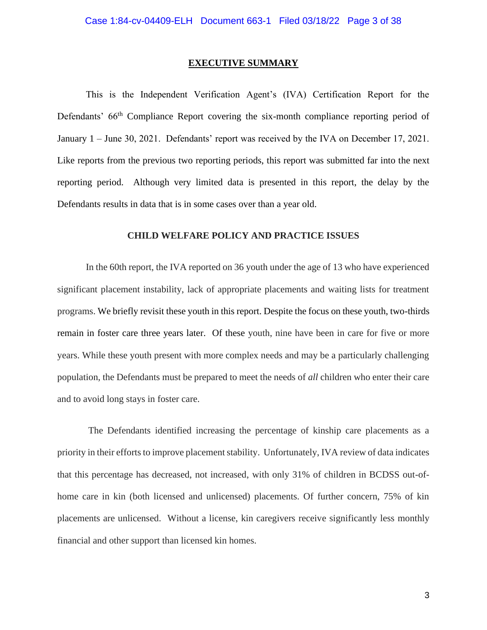#### **EXECUTIVE SUMMARY**

 This is the Independent Verification Agent's (IVA) Certification Report for the Defendants' 66<sup>th</sup> Compliance Report covering the six-month compliance reporting period of January 1 – June 30, 2021. Defendants' report was received by the IVA on December 17, 2021. Like reports from the previous two reporting periods, this report was submitted far into the next reporting period. Although very limited data is presented in this report, the delay by the Defendants results in data that is in some cases over than a year old.

## **CHILD WELFARE POLICY AND PRACTICE ISSUES**

In the 60th report, the IVA reported on 36 youth under the age of 13 who have experienced significant placement instability, lack of appropriate placements and waiting lists for treatment programs. We briefly revisit these youth in this report. Despite the focus on these youth, two-thirds remain in foster care three years later. Of these youth, nine have been in care for five or more years. While these youth present with more complex needs and may be a particularly challenging population, the Defendants must be prepared to meet the needs of *all* children who enter their care and to avoid long stays in foster care.

The Defendants identified increasing the percentage of kinship care placements as a priority in their efforts to improve placement stability. Unfortunately, IVA review of data indicates that this percentage has decreased, not increased, with only 31% of children in BCDSS out-ofhome care in kin (both licensed and unlicensed) placements. Of further concern, 75% of kin placements are unlicensed. Without a license, kin caregivers receive significantly less monthly financial and other support than licensed kin homes.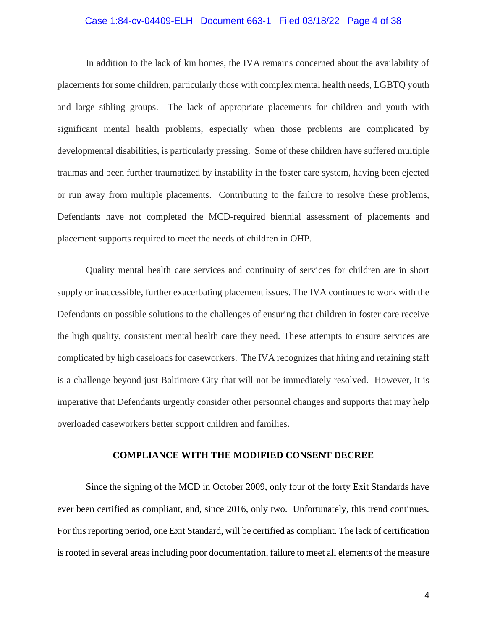#### Case 1:84-cv-04409-ELH Document 663-1 Filed 03/18/22 Page 4 of 38

In addition to the lack of kin homes, the IVA remains concerned about the availability of placements for some children, particularly those with complex mental health needs, LGBTQ youth and large sibling groups. The lack of appropriate placements for children and youth with significant mental health problems, especially when those problems are complicated by developmental disabilities, is particularly pressing. Some of these children have suffered multiple traumas and been further traumatized by instability in the foster care system, having been ejected or run away from multiple placements. Contributing to the failure to resolve these problems, Defendants have not completed the MCD-required biennial assessment of placements and placement supports required to meet the needs of children in OHP.

Quality mental health care services and continuity of services for children are in short supply or inaccessible, further exacerbating placement issues. The IVA continues to work with the Defendants on possible solutions to the challenges of ensuring that children in foster care receive the high quality, consistent mental health care they need. These attempts to ensure services are complicated by high caseloads for caseworkers. The IVA recognizes that hiring and retaining staff is a challenge beyond just Baltimore City that will not be immediately resolved. However, it is imperative that Defendants urgently consider other personnel changes and supports that may help overloaded caseworkers better support children and families.

#### **COMPLIANCE WITH THE MODIFIED CONSENT DECREE**

 Since the signing of the MCD in October 2009, only four of the forty Exit Standards have ever been certified as compliant, and, since 2016, only two. Unfortunately, this trend continues. For this reporting period, one Exit Standard, will be certified as compliant. The lack of certification is rooted in several areas including poor documentation, failure to meet all elements of the measure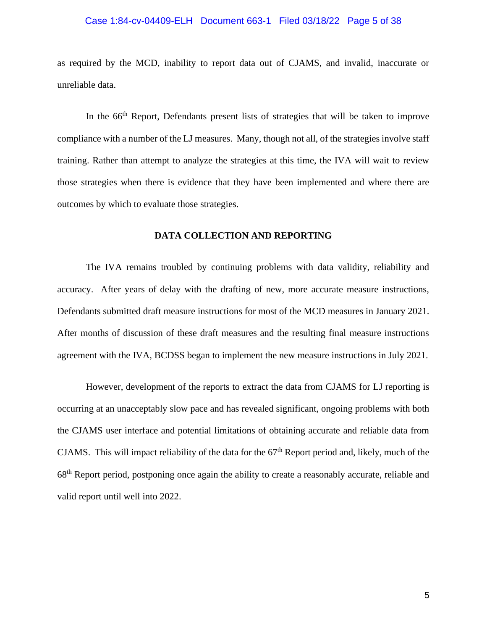#### Case 1:84-cv-04409-ELH Document 663-1 Filed 03/18/22 Page 5 of 38

as required by the MCD, inability to report data out of CJAMS, and invalid, inaccurate or unreliable data.

In the 66<sup>th</sup> Report, Defendants present lists of strategies that will be taken to improve compliance with a number of the LJ measures. Many, though not all, of the strategies involve staff training. Rather than attempt to analyze the strategies at this time, the IVA will wait to review those strategies when there is evidence that they have been implemented and where there are outcomes by which to evaluate those strategies.

# **DATA COLLECTION AND REPORTING**

The IVA remains troubled by continuing problems with data validity, reliability and accuracy. After years of delay with the drafting of new, more accurate measure instructions, Defendants submitted draft measure instructions for most of the MCD measures in January 2021. After months of discussion of these draft measures and the resulting final measure instructions agreement with the IVA, BCDSS began to implement the new measure instructions in July 2021.

However, development of the reports to extract the data from CJAMS for LJ reporting is occurring at an unacceptably slow pace and has revealed significant, ongoing problems with both the CJAMS user interface and potential limitations of obtaining accurate and reliable data from CJAMS. This will impact reliability of the data for the  $67<sup>th</sup>$  Report period and, likely, much of the 68th Report period, postponing once again the ability to create a reasonably accurate, reliable and valid report until well into 2022.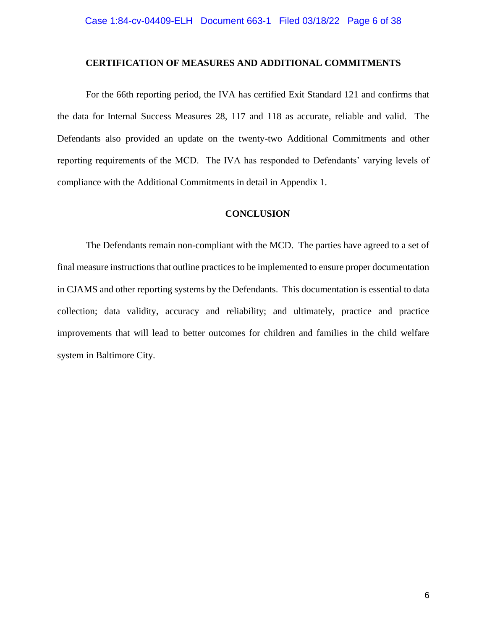#### **CERTIFICATION OF MEASURES AND ADDITIONAL COMMITMENTS**

For the 66th reporting period, the IVA has certified Exit Standard 121 and confirms that the data for Internal Success Measures 28, 117 and 118 as accurate, reliable and valid. The Defendants also provided an update on the twenty-two Additional Commitments and other reporting requirements of the MCD. The IVA has responded to Defendants' varying levels of compliance with the Additional Commitments in detail in Appendix 1.

## **CONCLUSION**

The Defendants remain non-compliant with the MCD. The parties have agreed to a set of final measure instructions that outline practices to be implemented to ensure proper documentation in CJAMS and other reporting systems by the Defendants. This documentation is essential to data collection; data validity, accuracy and reliability; and ultimately, practice and practice improvements that will lead to better outcomes for children and families in the child welfare system in Baltimore City.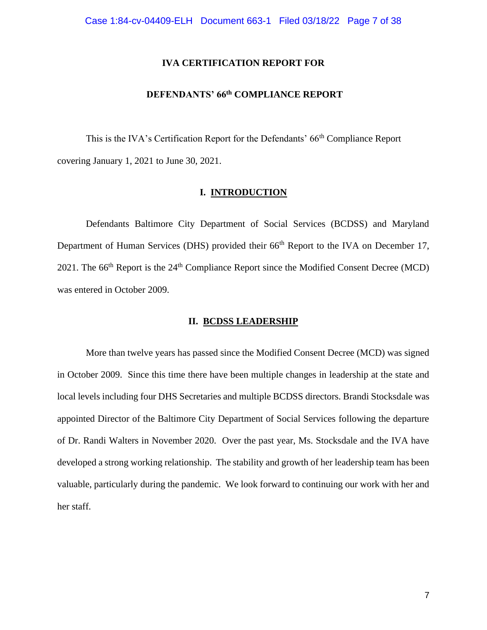## **IVA CERTIFICATION REPORT FOR**

# **DEFENDANTS' 66th COMPLIANCE REPORT**

This is the IVA's Certification Report for the Defendants' 66<sup>th</sup> Compliance Report covering January 1, 2021 to June 30, 2021.

## **I. INTRODUCTION**

 Defendants Baltimore City Department of Social Services (BCDSS) and Maryland Department of Human Services (DHS) provided their 66<sup>th</sup> Report to the IVA on December 17, 2021. The  $66<sup>th</sup>$  Report is the  $24<sup>th</sup>$  Compliance Report since the Modified Consent Decree (MCD) was entered in October 2009.

#### **II. BCDSS LEADERSHIP**

 More than twelve years has passed since the Modified Consent Decree (MCD) was signed in October 2009. Since this time there have been multiple changes in leadership at the state and local levels including four DHS Secretaries and multiple BCDSS directors. Brandi Stocksdale was appointed Director of the Baltimore City Department of Social Services following the departure of Dr. Randi Walters in November 2020. Over the past year, Ms. Stocksdale and the IVA have developed a strong working relationship. The stability and growth of her leadership team has been valuable, particularly during the pandemic. We look forward to continuing our work with her and her staff.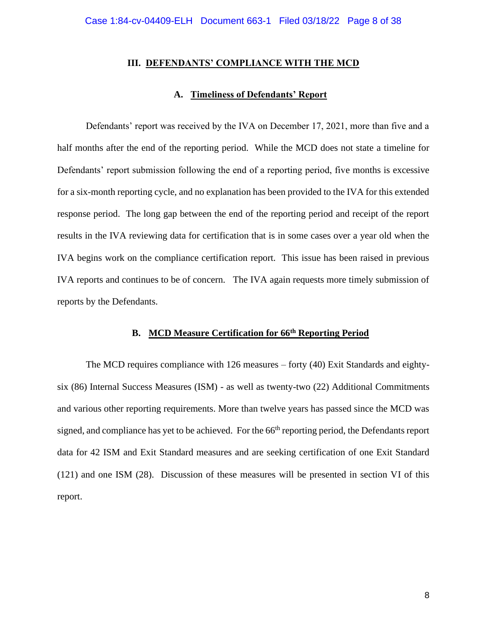#### **III. DEFENDANTS' COMPLIANCE WITH THE MCD**

#### **A. Timeliness of Defendants' Report**

Defendants' report was received by the IVA on December 17, 2021, more than five and a half months after the end of the reporting period. While the MCD does not state a timeline for Defendants' report submission following the end of a reporting period, five months is excessive for a six-month reporting cycle, and no explanation has been provided to the IVA for this extended response period. The long gap between the end of the reporting period and receipt of the report results in the IVA reviewing data for certification that is in some cases over a year old when the IVA begins work on the compliance certification report. This issue has been raised in previous IVA reports and continues to be of concern. The IVA again requests more timely submission of reports by the Defendants.

# **B. MCD Measure Certification for 66th Reporting Period**

 The MCD requires compliance with 126 measures – forty (40) Exit Standards and eightysix (86) Internal Success Measures (ISM) - as well as twenty-two (22) Additional Commitments and various other reporting requirements. More than twelve years has passed since the MCD was signed, and compliance has yet to be achieved. For the 66<sup>th</sup> reporting period, the Defendants report data for 42 ISM and Exit Standard measures and are seeking certification of one Exit Standard (121) and one ISM (28). Discussion of these measures will be presented in section VI of this report.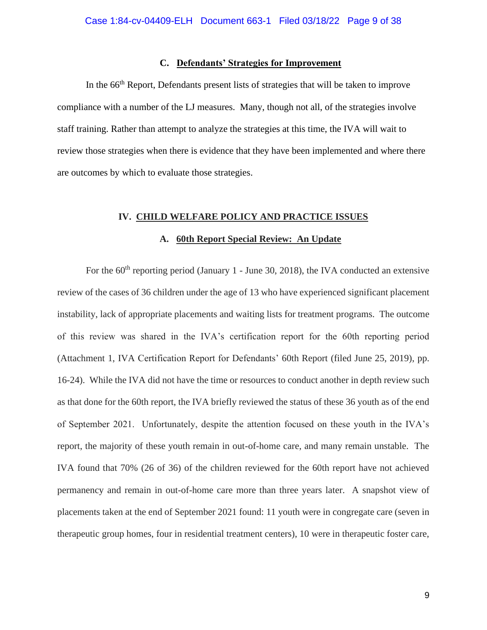## **C. Defendants' Strategies for Improvement**

In the 66<sup>th</sup> Report, Defendants present lists of strategies that will be taken to improve compliance with a number of the LJ measures. Many, though not all, of the strategies involve staff training. Rather than attempt to analyze the strategies at this time, the IVA will wait to review those strategies when there is evidence that they have been implemented and where there are outcomes by which to evaluate those strategies.

#### **IV. CHILD WELFARE POLICY AND PRACTICE ISSUES**

#### **A. 60th Report Special Review: An Update**

For the  $60<sup>th</sup>$  reporting period (January 1 - June 30, 2018), the IVA conducted an extensive review of the cases of 36 children under the age of 13 who have experienced significant placement instability, lack of appropriate placements and waiting lists for treatment programs. The outcome of this review was shared in the IVA's certification report for the 60th reporting period (Attachment 1, IVA Certification Report for Defendants' 60th Report (filed June 25, 2019), pp. 16-24). While the IVA did not have the time or resources to conduct another in depth review such as that done for the 60th report, the IVA briefly reviewed the status of these 36 youth as of the end of September 2021. Unfortunately, despite the attention focused on these youth in the IVA's report, the majority of these youth remain in out-of-home care, and many remain unstable. The IVA found that 70% (26 of 36) of the children reviewed for the 60th report have not achieved permanency and remain in out-of-home care more than three years later. A snapshot view of placements taken at the end of September 2021 found: 11 youth were in congregate care (seven in therapeutic group homes, four in residential treatment centers), 10 were in therapeutic foster care,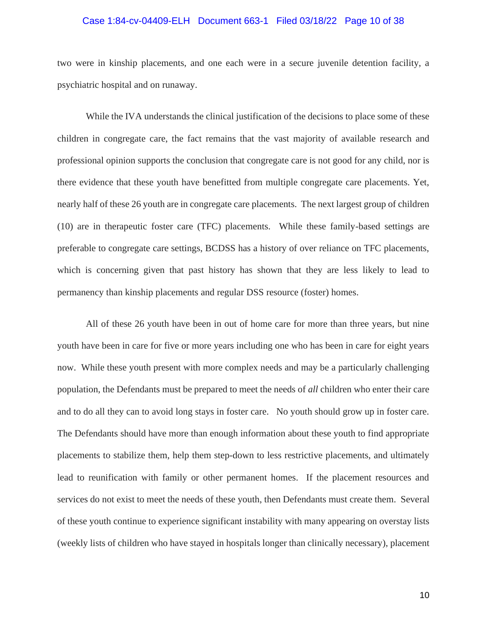#### Case 1:84-cv-04409-ELH Document 663-1 Filed 03/18/22 Page 10 of 38

two were in kinship placements, and one each were in a secure juvenile detention facility, a psychiatric hospital and on runaway.

While the IVA understands the clinical justification of the decisions to place some of these children in congregate care, the fact remains that the vast majority of available research and professional opinion supports the conclusion that congregate care is not good for any child, nor is there evidence that these youth have benefitted from multiple congregate care placements. Yet, nearly half of these 26 youth are in congregate care placements. The next largest group of children (10) are in therapeutic foster care (TFC) placements. While these family-based settings are preferable to congregate care settings, BCDSS has a history of over reliance on TFC placements, which is concerning given that past history has shown that they are less likely to lead to permanency than kinship placements and regular DSS resource (foster) homes.

All of these 26 youth have been in out of home care for more than three years, but nine youth have been in care for five or more years including one who has been in care for eight years now. While these youth present with more complex needs and may be a particularly challenging population, the Defendants must be prepared to meet the needs of *all* children who enter their care and to do all they can to avoid long stays in foster care. No youth should grow up in foster care. The Defendants should have more than enough information about these youth to find appropriate placements to stabilize them, help them step-down to less restrictive placements, and ultimately lead to reunification with family or other permanent homes. If the placement resources and services do not exist to meet the needs of these youth, then Defendants must create them. Several of these youth continue to experience significant instability with many appearing on overstay lists (weekly lists of children who have stayed in hospitals longer than clinically necessary), placement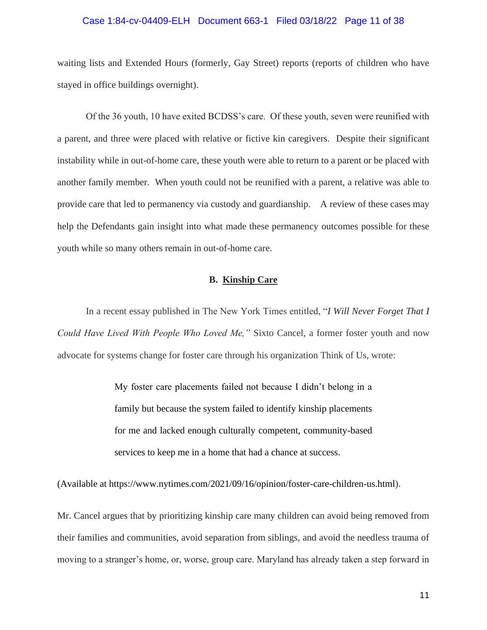#### Case 1:84-cv-04409-ELH Document 663-1 Filed 03/18/22 Page 11 of 38

waiting lists and Extended Hours (formerly, Gay Street) reports (reports of children who have stayed in office buildings overnight).

Of the 36 youth, 10 have exited BCDSS's care. Of these youth, seven were reunified with a parent, and three were placed with relative or fictive kin caregivers. Despite their significant instability while in out-of-home care, these youth were able to return to a parent or be placed with another family member. When youth could not be reunified with a parent, a relative was able to provide care that led to permanency via custody and guardianship. A review of these cases may help the Defendants gain insight into what made these permanency outcomes possible for these youth while so many others remain in out-of-home care.

## **B. Kinship Care**

In a recent essay published in The New York Times entitled, "*I Will Never Forget That I Could Have Lived With People Who Loved Me,"* Sixto Cancel, a former foster youth and now advocate for systems change for foster care through his organization Think of Us, wrote:

> My foster care placements failed not because I didn't belong in a family but because the system failed to identify kinship placements for me and lacked enough culturally competent, community-based services to keep me in a home that had a chance at success.

(Available at https://www.nytimes.com/2021/09/16/opinion/foster-care-children-us.html).

Mr. Cancel argues that by prioritizing kinship care many children can avoid being removed from their families and communities, avoid separation from siblings, and avoid the needless trauma of moving to a stranger's home, or, worse, group care. Maryland has already taken a step forward in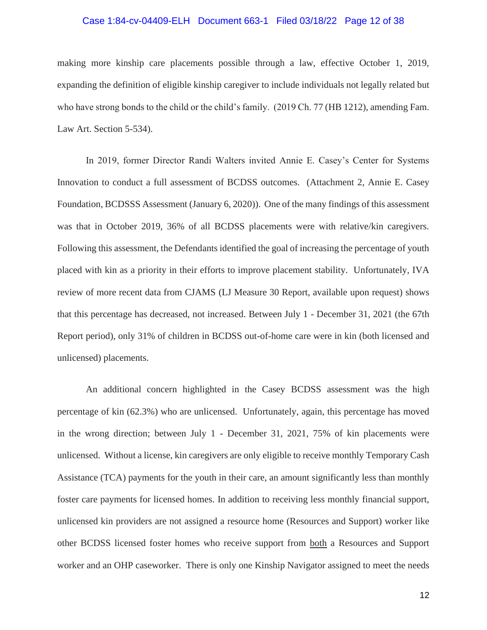## Case 1:84-cv-04409-ELH Document 663-1 Filed 03/18/22 Page 12 of 38

making more kinship care placements possible through a law, effective October 1, 2019, expanding the definition of eligible kinship caregiver to include individuals not legally related but who have strong bonds to the child or the child's family. (2019 Ch. 77 (HB 1212), amending Fam. Law Art. Section 5-534).

In 2019, former Director Randi Walters invited Annie E. Casey's Center for Systems Innovation to conduct a full assessment of BCDSS outcomes. (Attachment 2, Annie E. Casey Foundation, BCDSSS Assessment (January 6, 2020)). One of the many findings of this assessment was that in October 2019, 36% of all BCDSS placements were with relative/kin caregivers. Following this assessment, the Defendants identified the goal of increasing the percentage of youth placed with kin as a priority in their efforts to improve placement stability. Unfortunately, IVA review of more recent data from CJAMS (LJ Measure 30 Report, available upon request) shows that this percentage has decreased, not increased. Between July 1 - December 31, 2021 (the 67th Report period), only 31% of children in BCDSS out-of-home care were in kin (both licensed and unlicensed) placements.

An additional concern highlighted in the Casey BCDSS assessment was the high percentage of kin (62.3%) who are unlicensed. Unfortunately, again, this percentage has moved in the wrong direction; between July 1 - December 31, 2021, 75% of kin placements were unlicensed. Without a license, kin caregivers are only eligible to receive monthly Temporary Cash Assistance (TCA) payments for the youth in their care, an amount significantly less than monthly foster care payments for licensed homes. In addition to receiving less monthly financial support, unlicensed kin providers are not assigned a resource home (Resources and Support) worker like other BCDSS licensed foster homes who receive support from both a Resources and Support worker and an OHP caseworker. There is only one Kinship Navigator assigned to meet the needs

12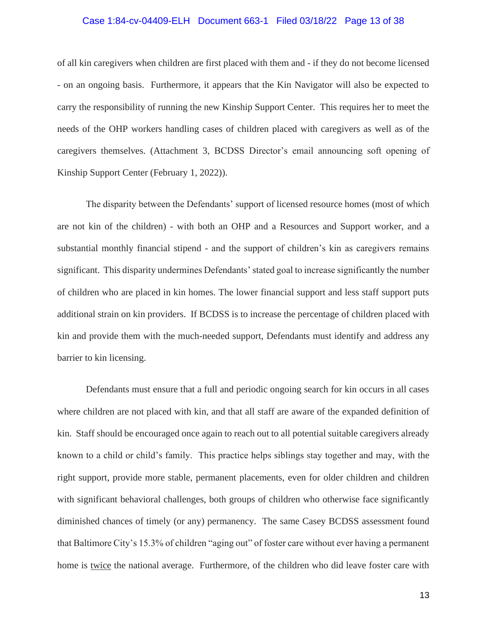#### Case 1:84-cv-04409-ELH Document 663-1 Filed 03/18/22 Page 13 of 38

of all kin caregivers when children are first placed with them and - if they do not become licensed - on an ongoing basis. Furthermore, it appears that the Kin Navigator will also be expected to carry the responsibility of running the new Kinship Support Center. This requires her to meet the needs of the OHP workers handling cases of children placed with caregivers as well as of the caregivers themselves. (Attachment 3, BCDSS Director's email announcing soft opening of Kinship Support Center (February 1, 2022)).

The disparity between the Defendants' support of licensed resource homes (most of which are not kin of the children) - with both an OHP and a Resources and Support worker, and a substantial monthly financial stipend - and the support of children's kin as caregivers remains significant. This disparity undermines Defendants' stated goal to increase significantly the number of children who are placed in kin homes. The lower financial support and less staff support puts additional strain on kin providers. If BCDSS is to increase the percentage of children placed with kin and provide them with the much-needed support, Defendants must identify and address any barrier to kin licensing.

Defendants must ensure that a full and periodic ongoing search for kin occurs in all cases where children are not placed with kin, and that all staff are aware of the expanded definition of kin. Staff should be encouraged once again to reach out to all potential suitable caregivers already known to a child or child's family. This practice helps siblings stay together and may, with the right support, provide more stable, permanent placements, even for older children and children with significant behavioral challenges, both groups of children who otherwise face significantly diminished chances of timely (or any) permanency. The same Casey BCDSS assessment found that Baltimore City's 15.3% of children "aging out" of foster care without ever having a permanent home is twice the national average. Furthermore, of the children who did leave foster care with

13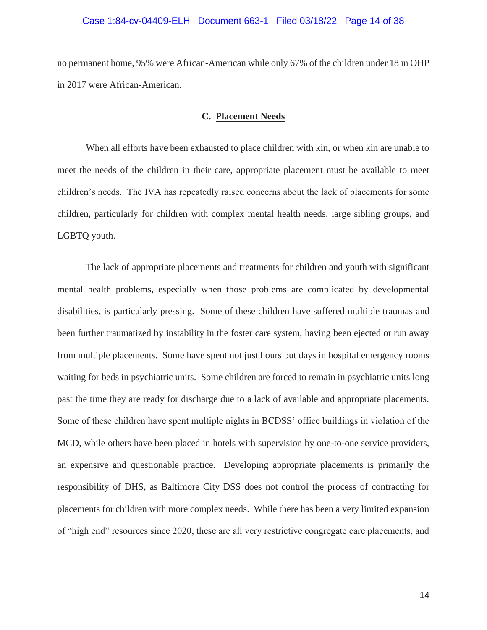## Case 1:84-cv-04409-ELH Document 663-1 Filed 03/18/22 Page 14 of 38

no permanent home, 95% were African-American while only 67% of the children under 18 in OHP in 2017 were African-American.

#### **C. Placement Needs**

When all efforts have been exhausted to place children with kin, or when kin are unable to meet the needs of the children in their care, appropriate placement must be available to meet children's needs. The IVA has repeatedly raised concerns about the lack of placements for some children, particularly for children with complex mental health needs, large sibling groups, and LGBTQ youth.

The lack of appropriate placements and treatments for children and youth with significant mental health problems, especially when those problems are complicated by developmental disabilities, is particularly pressing. Some of these children have suffered multiple traumas and been further traumatized by instability in the foster care system, having been ejected or run away from multiple placements. Some have spent not just hours but days in hospital emergency rooms waiting for beds in psychiatric units. Some children are forced to remain in psychiatric units long past the time they are ready for discharge due to a lack of available and appropriate placements. Some of these children have spent multiple nights in BCDSS' office buildings in violation of the MCD, while others have been placed in hotels with supervision by one-to-one service providers, an expensive and questionable practice. Developing appropriate placements is primarily the responsibility of DHS, as Baltimore City DSS does not control the process of contracting for placements for children with more complex needs. While there has been a very limited expansion of "high end" resources since 2020, these are all very restrictive congregate care placements, and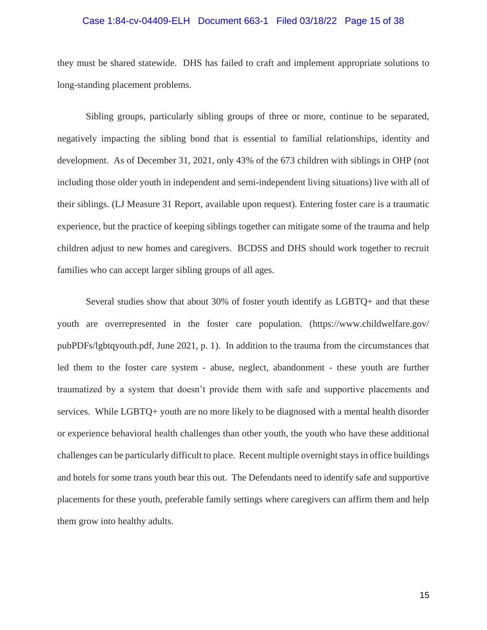#### Case 1:84-cv-04409-ELH Document 663-1 Filed 03/18/22 Page 15 of 38

they must be shared statewide. DHS has failed to craft and implement appropriate solutions to long-standing placement problems.

Sibling groups, particularly sibling groups of three or more, continue to be separated, negatively impacting the sibling bond that is essential to familial relationships, identity and development. As of December 31, 2021, only 43% of the 673 children with siblings in OHP (not including those older youth in independent and semi-independent living situations) live with all of their siblings. (LJ Measure 31 Report, available upon request). Entering foster care is a traumatic experience, but the practice of keeping siblings together can mitigate some of the trauma and help children adjust to new homes and caregivers. BCDSS and DHS should work together to recruit families who can accept larger sibling groups of all ages.

Several studies show that about 30% of foster youth identify as LGBTQ+ and that these youth are overrepresented in the foster care population. (https://www.childwelfare.gov/ pubPDFs/lgbtqyouth.pdf, June 2021, p. 1). In addition to the trauma from the circumstances that led them to the foster care system - abuse, neglect, abandonment - these youth are further traumatized by a system that doesn't provide them with safe and supportive placements and services. While LGBTQ+ youth are no more likely to be diagnosed with a mental health disorder or experience behavioral health challenges than other youth, the youth who have these additional challenges can be particularly difficult to place. Recent multiple overnight stays in office buildings and hotels for some trans youth bear this out. The Defendants need to identify safe and supportive placements for these youth, preferable family settings where caregivers can affirm them and help them grow into healthy adults.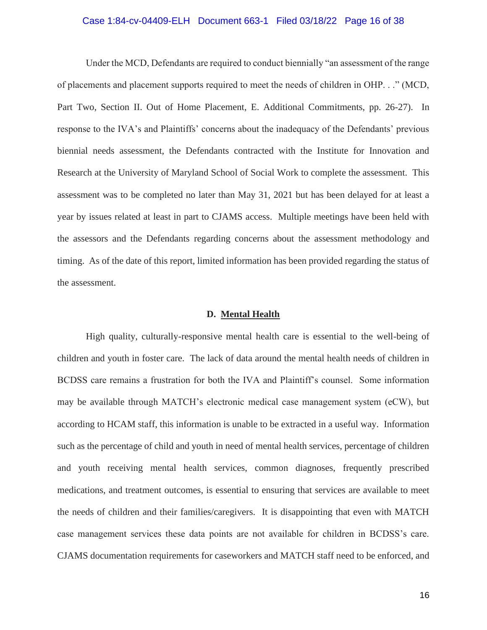## Case 1:84-cv-04409-ELH Document 663-1 Filed 03/18/22 Page 16 of 38

Under the MCD, Defendants are required to conduct biennially "an assessment of the range of placements and placement supports required to meet the needs of children in OHP. . ." (MCD, Part Two, Section II. Out of Home Placement, E. Additional Commitments, pp. 26-27). In response to the IVA's and Plaintiffs' concerns about the inadequacy of the Defendants' previous biennial needs assessment, the Defendants contracted with the Institute for Innovation and Research at the University of Maryland School of Social Work to complete the assessment. This assessment was to be completed no later than May 31, 2021 but has been delayed for at least a year by issues related at least in part to CJAMS access. Multiple meetings have been held with the assessors and the Defendants regarding concerns about the assessment methodology and timing. As of the date of this report, limited information has been provided regarding the status of the assessment.

#### **D. Mental Health**

High quality, culturally-responsive mental health care is essential to the well-being of children and youth in foster care. The lack of data around the mental health needs of children in BCDSS care remains a frustration for both the IVA and Plaintiff's counsel. Some information may be available through MATCH's electronic medical case management system (eCW), but according to HCAM staff, this information is unable to be extracted in a useful way. Information such as the percentage of child and youth in need of mental health services, percentage of children and youth receiving mental health services, common diagnoses, frequently prescribed medications, and treatment outcomes, is essential to ensuring that services are available to meet the needs of children and their families/caregivers. It is disappointing that even with MATCH case management services these data points are not available for children in BCDSS's care. CJAMS documentation requirements for caseworkers and MATCH staff need to be enforced, and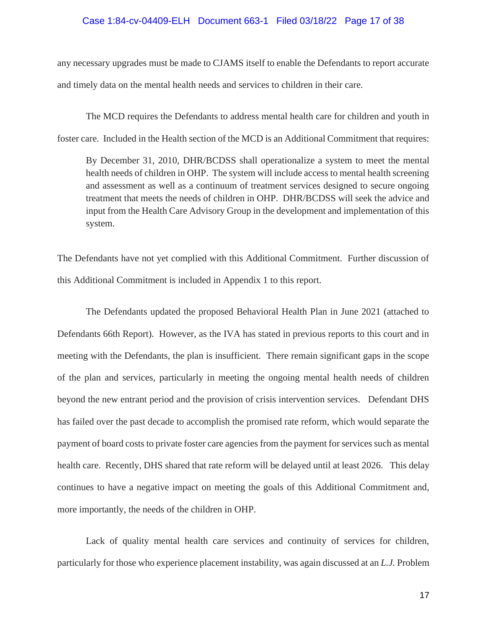## Case 1:84-cv-04409-ELH Document 663-1 Filed 03/18/22 Page 17 of 38

any necessary upgrades must be made to CJAMS itself to enable the Defendants to report accurate and timely data on the mental health needs and services to children in their care.

The MCD requires the Defendants to address mental health care for children and youth in foster care. Included in the Health section of the MCD is an Additional Commitment that requires:

By December 31, 2010, DHR/BCDSS shall operationalize a system to meet the mental health needs of children in OHP. The system will include access to mental health screening and assessment as well as a continuum of treatment services designed to secure ongoing treatment that meets the needs of children in OHP. DHR/BCDSS will seek the advice and input from the Health Care Advisory Group in the development and implementation of this system.

The Defendants have not yet complied with this Additional Commitment. Further discussion of this Additional Commitment is included in Appendix 1 to this report.

The Defendants updated the proposed Behavioral Health Plan in June 2021 (attached to Defendants 66th Report). However, as the IVA has stated in previous reports to this court and in meeting with the Defendants, the plan is insufficient. There remain significant gaps in the scope of the plan and services, particularly in meeting the ongoing mental health needs of children beyond the new entrant period and the provision of crisis intervention services. Defendant DHS has failed over the past decade to accomplish the promised rate reform, which would separate the payment of board costs to private foster care agencies from the payment for services such as mental health care. Recently, DHS shared that rate reform will be delayed until at least 2026. This delay continues to have a negative impact on meeting the goals of this Additional Commitment and, more importantly, the needs of the children in OHP.

Lack of quality mental health care services and continuity of services for children, particularly for those who experience placement instability, was again discussed at an *L.J.* Problem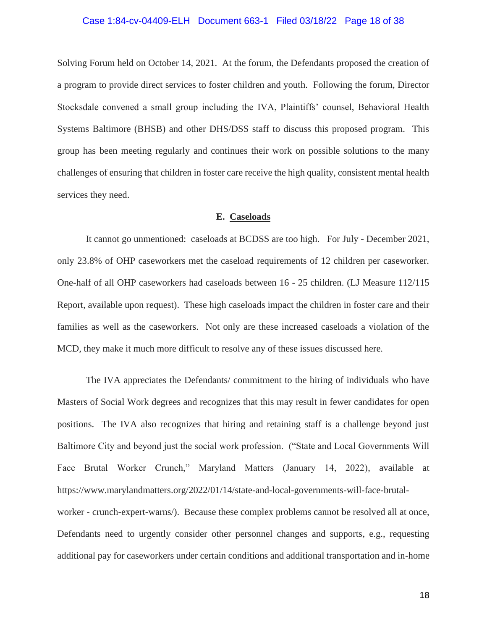#### Case 1:84-cv-04409-ELH Document 663-1 Filed 03/18/22 Page 18 of 38

Solving Forum held on October 14, 2021. At the forum, the Defendants proposed the creation of a program to provide direct services to foster children and youth. Following the forum, Director Stocksdale convened a small group including the IVA, Plaintiffs' counsel, Behavioral Health Systems Baltimore (BHSB) and other DHS/DSS staff to discuss this proposed program. This group has been meeting regularly and continues their work on possible solutions to the many challenges of ensuring that children in foster care receive the high quality, consistent mental health services they need.

## **E. Caseloads**

It cannot go unmentioned: caseloads at BCDSS are too high. For July - December 2021, only 23.8% of OHP caseworkers met the caseload requirements of 12 children per caseworker. One-half of all OHP caseworkers had caseloads between 16 - 25 children. (LJ Measure 112/115 Report, available upon request). These high caseloads impact the children in foster care and their families as well as the caseworkers. Not only are these increased caseloads a violation of the MCD, they make it much more difficult to resolve any of these issues discussed here.

The IVA appreciates the Defendants/ commitment to the hiring of individuals who have Masters of Social Work degrees and recognizes that this may result in fewer candidates for open positions. The IVA also recognizes that hiring and retaining staff is a challenge beyond just Baltimore City and beyond just the social work profession. ("State and Local Governments Will Face Brutal Worker Crunch," Maryland Matters (January 14, 2022), available at https://www.marylandmatters.org/2022/01/14/state-and-local-governments-will-face-brutalworker - crunch-expert-warns/). Because these complex problems cannot be resolved all at once, Defendants need to urgently consider other personnel changes and supports, e.g., requesting additional pay for caseworkers under certain conditions and additional transportation and in-home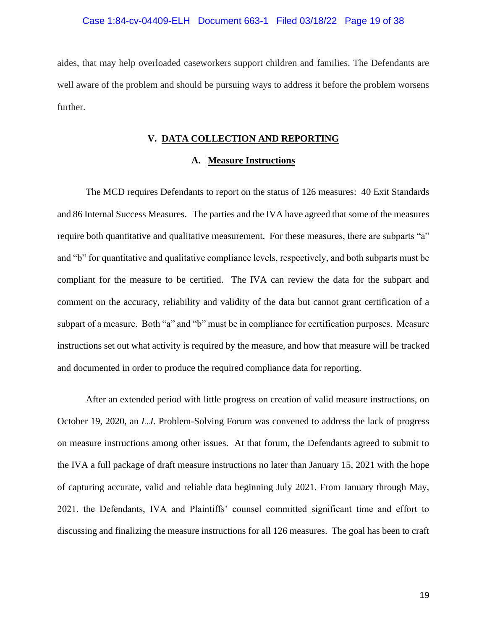aides, that may help overloaded caseworkers support children and families. The Defendants are well aware of the problem and should be pursuing ways to address it before the problem worsens further.

#### **V. DATA COLLECTION AND REPORTING**

## **A. Measure Instructions**

The MCD requires Defendants to report on the status of 126 measures: 40 Exit Standards and 86 Internal Success Measures. The parties and the IVA have agreed that some of the measures require both quantitative and qualitative measurement. For these measures, there are subparts "a" and "b" for quantitative and qualitative compliance levels, respectively, and both subparts must be compliant for the measure to be certified. The IVA can review the data for the subpart and comment on the accuracy, reliability and validity of the data but cannot grant certification of a subpart of a measure. Both "a" and "b" must be in compliance for certification purposes. Measure instructions set out what activity is required by the measure, and how that measure will be tracked and documented in order to produce the required compliance data for reporting.

After an extended period with little progress on creation of valid measure instructions, on October 19, 2020, an *L.J.* Problem-Solving Forum was convened to address the lack of progress on measure instructions among other issues. At that forum, the Defendants agreed to submit to the IVA a full package of draft measure instructions no later than January 15, 2021 with the hope of capturing accurate, valid and reliable data beginning July 2021. From January through May, 2021, the Defendants, IVA and Plaintiffs' counsel committed significant time and effort to discussing and finalizing the measure instructions for all 126 measures. The goal has been to craft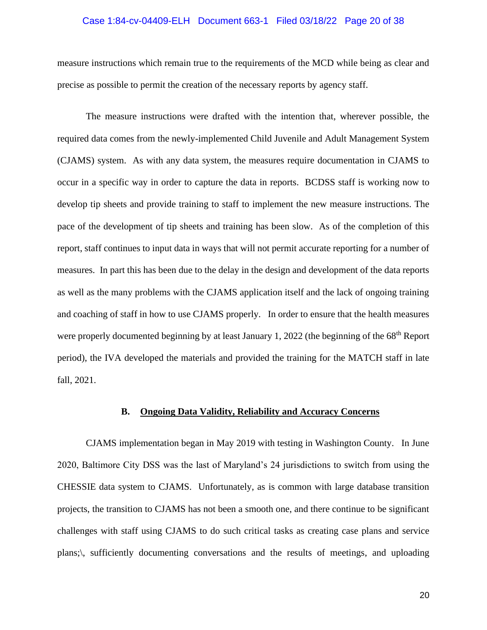#### Case 1:84-cv-04409-ELH Document 663-1 Filed 03/18/22 Page 20 of 38

measure instructions which remain true to the requirements of the MCD while being as clear and precise as possible to permit the creation of the necessary reports by agency staff.

The measure instructions were drafted with the intention that, wherever possible, the required data comes from the newly-implemented Child Juvenile and Adult Management System (CJAMS) system. As with any data system, the measures require documentation in CJAMS to occur in a specific way in order to capture the data in reports. BCDSS staff is working now to develop tip sheets and provide training to staff to implement the new measure instructions. The pace of the development of tip sheets and training has been slow. As of the completion of this report, staff continues to input data in ways that will not permit accurate reporting for a number of measures. In part this has been due to the delay in the design and development of the data reports as well as the many problems with the CJAMS application itself and the lack of ongoing training and coaching of staff in how to use CJAMS properly. In order to ensure that the health measures were properly documented beginning by at least January 1, 2022 (the beginning of the 68<sup>th</sup> Report period), the IVA developed the materials and provided the training for the MATCH staff in late fall, 2021.

## **B. Ongoing Data Validity, Reliability and Accuracy Concerns**

 CJAMS implementation began in May 2019 with testing in Washington County. In June 2020, Baltimore City DSS was the last of Maryland's 24 jurisdictions to switch from using the CHESSIE data system to CJAMS. Unfortunately, as is common with large database transition projects, the transition to CJAMS has not been a smooth one, and there continue to be significant challenges with staff using CJAMS to do such critical tasks as creating case plans and service plans;\, sufficiently documenting conversations and the results of meetings, and uploading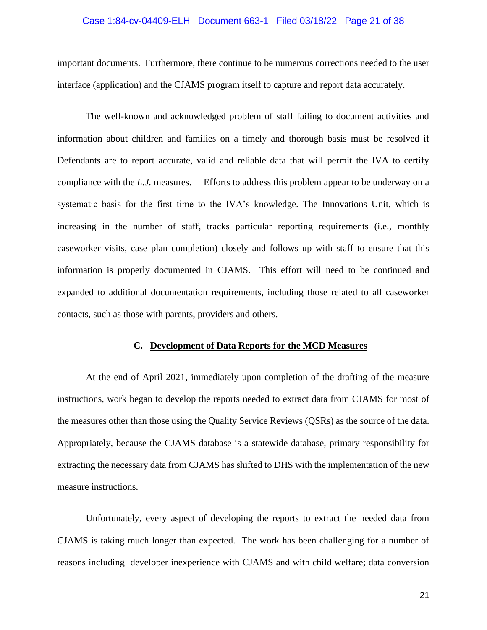## Case 1:84-cv-04409-ELH Document 663-1 Filed 03/18/22 Page 21 of 38

important documents. Furthermore, there continue to be numerous corrections needed to the user interface (application) and the CJAMS program itself to capture and report data accurately.

 The well-known and acknowledged problem of staff failing to document activities and information about children and families on a timely and thorough basis must be resolved if Defendants are to report accurate, valid and reliable data that will permit the IVA to certify compliance with the *L.J.* measures. Efforts to address this problem appear to be underway on a systematic basis for the first time to the IVA's knowledge. The Innovations Unit, which is increasing in the number of staff, tracks particular reporting requirements (i.e., monthly caseworker visits, case plan completion) closely and follows up with staff to ensure that this information is properly documented in CJAMS. This effort will need to be continued and expanded to additional documentation requirements, including those related to all caseworker contacts, such as those with parents, providers and others.

## **C. Development of Data Reports for the MCD Measures**

At the end of April 2021, immediately upon completion of the drafting of the measure instructions, work began to develop the reports needed to extract data from CJAMS for most of the measures other than those using the Quality Service Reviews (QSRs) as the source of the data. Appropriately, because the CJAMS database is a statewide database, primary responsibility for extracting the necessary data from CJAMS has shifted to DHS with the implementation of the new measure instructions.

Unfortunately, every aspect of developing the reports to extract the needed data from CJAMS is taking much longer than expected. The work has been challenging for a number of reasons including developer inexperience with CJAMS and with child welfare; data conversion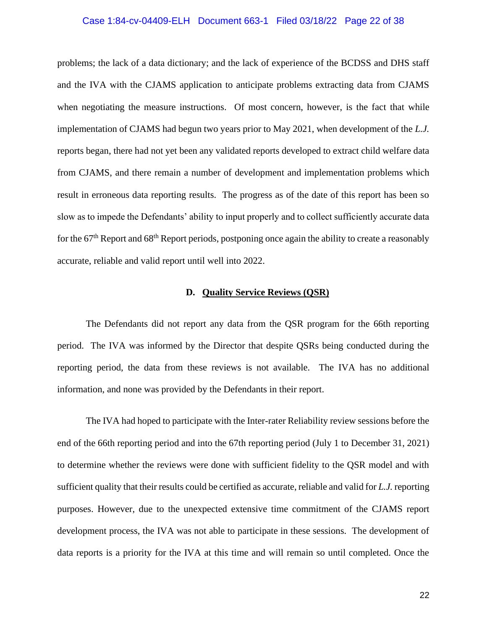#### Case 1:84-cv-04409-ELH Document 663-1 Filed 03/18/22 Page 22 of 38

problems; the lack of a data dictionary; and the lack of experience of the BCDSS and DHS staff and the IVA with the CJAMS application to anticipate problems extracting data from CJAMS when negotiating the measure instructions. Of most concern, however, is the fact that while implementation of CJAMS had begun two years prior to May 2021, when development of the *L.J.* reports began, there had not yet been any validated reports developed to extract child welfare data from CJAMS, and there remain a number of development and implementation problems which result in erroneous data reporting results. The progress as of the date of this report has been so slow as to impede the Defendants' ability to input properly and to collect sufficiently accurate data for the  $67<sup>th</sup>$  Report and  $68<sup>th</sup>$  Report periods, postponing once again the ability to create a reasonably accurate, reliable and valid report until well into 2022.

#### **D. Quality Service Reviews (QSR)**

The Defendants did not report any data from the QSR program for the 66th reporting period. The IVA was informed by the Director that despite QSRs being conducted during the reporting period, the data from these reviews is not available. The IVA has no additional information, and none was provided by the Defendants in their report.

The IVA had hoped to participate with the Inter-rater Reliability review sessions before the end of the 66th reporting period and into the 67th reporting period (July 1 to December 31, 2021) to determine whether the reviews were done with sufficient fidelity to the QSR model and with sufficient quality that their results could be certified as accurate, reliable and valid for *L.J.* reporting purposes. However, due to the unexpected extensive time commitment of the CJAMS report development process, the IVA was not able to participate in these sessions. The development of data reports is a priority for the IVA at this time and will remain so until completed. Once the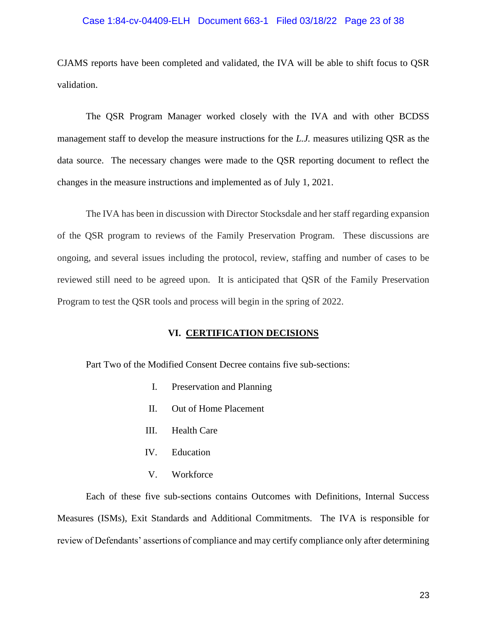## Case 1:84-cv-04409-ELH Document 663-1 Filed 03/18/22 Page 23 of 38

CJAMS reports have been completed and validated, the IVA will be able to shift focus to QSR validation.

 The QSR Program Manager worked closely with the IVA and with other BCDSS management staff to develop the measure instructions for the *L.J.* measures utilizing QSR as the data source. The necessary changes were made to the QSR reporting document to reflect the changes in the measure instructions and implemented as of July 1, 2021.

The IVA has been in discussion with Director Stocksdale and her staff regarding expansion of the QSR program to reviews of the Family Preservation Program. These discussions are ongoing, and several issues including the protocol, review, staffing and number of cases to be reviewed still need to be agreed upon. It is anticipated that QSR of the Family Preservation Program to test the QSR tools and process will begin in the spring of 2022.

## **VI. CERTIFICATION DECISIONS**

Part Two of the Modified Consent Decree contains five sub-sections:

- I. Preservation and Planning
- II. Out of Home Placement
- III. Health Care
- IV. Education
- V. Workforce

Each of these five sub-sections contains Outcomes with Definitions, Internal Success Measures (ISMs), Exit Standards and Additional Commitments. The IVA is responsible for review of Defendants' assertions of compliance and may certify compliance only after determining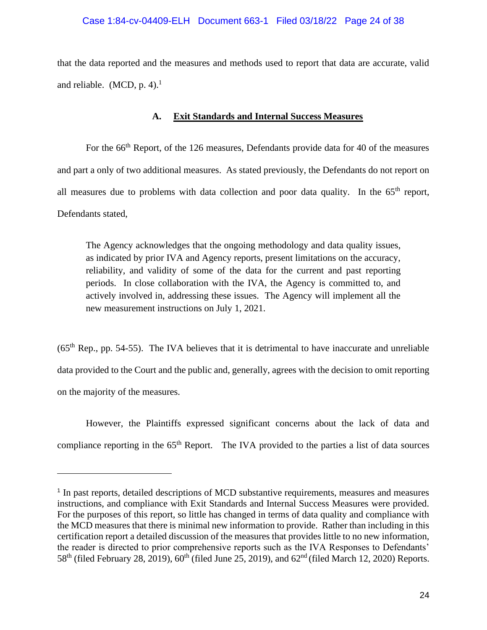that the data reported and the measures and methods used to report that data are accurate, valid and reliable. (MCD,  $p. 4$ ).<sup>1</sup>

# **A. Exit Standards and Internal Success Measures**

For the 66<sup>th</sup> Report, of the 126 measures, Defendants provide data for 40 of the measures and part a only of two additional measures. As stated previously, the Defendants do not report on all measures due to problems with data collection and poor data quality. In the  $65<sup>th</sup>$  report, Defendants stated,

The Agency acknowledges that the ongoing methodology and data quality issues, as indicated by prior IVA and Agency reports, present limitations on the accuracy, reliability, and validity of some of the data for the current and past reporting periods. In close collaboration with the IVA, the Agency is committed to, and actively involved in, addressing these issues. The Agency will implement all the new measurement instructions on July 1, 2021.

 $(65<sup>th</sup>$  Rep., pp. 54-55). The IVA believes that it is detrimental to have inaccurate and unreliable data provided to the Court and the public and, generally, agrees with the decision to omit reporting on the majority of the measures.

However, the Plaintiffs expressed significant concerns about the lack of data and compliance reporting in the 65<sup>th</sup> Report. The IVA provided to the parties a list of data sources

<sup>&</sup>lt;sup>1</sup> In past reports, detailed descriptions of MCD substantive requirements, measures and measures instructions, and compliance with Exit Standards and Internal Success Measures were provided. For the purposes of this report, so little has changed in terms of data quality and compliance with the MCD measures that there is minimal new information to provide. Rather than including in this certification report a detailed discussion of the measures that provides little to no new information, the reader is directed to prior comprehensive reports such as the IVA Responses to Defendants'  $58<sup>th</sup>$  (filed February 28, 2019),  $60<sup>th</sup>$  (filed June 25, 2019), and  $62<sup>nd</sup>$  (filed March 12, 2020) Reports.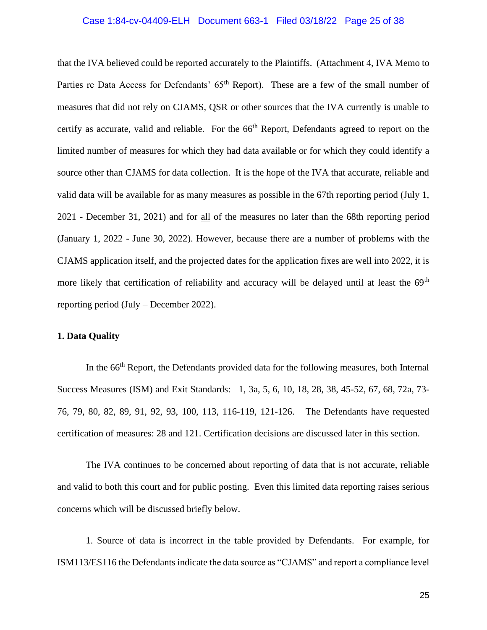#### Case 1:84-cv-04409-ELH Document 663-1 Filed 03/18/22 Page 25 of 38

that the IVA believed could be reported accurately to the Plaintiffs. (Attachment 4, IVA Memo to Parties re Data Access for Defendants' 65<sup>th</sup> Report). These are a few of the small number of measures that did not rely on CJAMS, QSR or other sources that the IVA currently is unable to certify as accurate, valid and reliable. For the 66<sup>th</sup> Report, Defendants agreed to report on the limited number of measures for which they had data available or for which they could identify a source other than CJAMS for data collection. It is the hope of the IVA that accurate, reliable and valid data will be available for as many measures as possible in the 67th reporting period (July 1, 2021 - December 31, 2021) and for all of the measures no later than the 68th reporting period (January 1, 2022 - June 30, 2022). However, because there are a number of problems with the CJAMS application itself, and the projected dates for the application fixes are well into 2022, it is more likely that certification of reliability and accuracy will be delayed until at least the  $69<sup>th</sup>$ reporting period (July – December 2022).

## **1. Data Quality**

In the 66<sup>th</sup> Report, the Defendants provided data for the following measures, both Internal Success Measures (ISM) and Exit Standards: 1, 3a, 5, 6, 10, 18, 28, 38, 45-52, 67, 68, 72a, 73- 76, 79, 80, 82, 89, 91, 92, 93, 100, 113, 116-119, 121-126. The Defendants have requested certification of measures: 28 and 121. Certification decisions are discussed later in this section.

The IVA continues to be concerned about reporting of data that is not accurate, reliable and valid to both this court and for public posting. Even this limited data reporting raises serious concerns which will be discussed briefly below.

1. Source of data is incorrect in the table provided by Defendants. For example, for ISM113/ES116 the Defendants indicate the data source as "CJAMS" and report a compliance level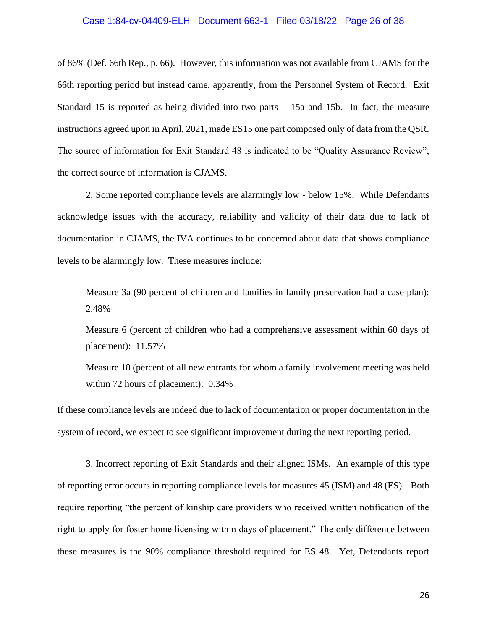#### Case 1:84-cv-04409-ELH Document 663-1 Filed 03/18/22 Page 26 of 38

of 86% (Def. 66th Rep., p. 66). However, this information was not available from CJAMS for the 66th reporting period but instead came, apparently, from the Personnel System of Record. Exit Standard 15 is reported as being divided into two parts – 15a and 15b. In fact, the measure instructions agreed upon in April, 2021, made ES15 one part composed only of data from the QSR. The source of information for Exit Standard 48 is indicated to be "Quality Assurance Review"; the correct source of information is CJAMS.

2. Some reported compliance levels are alarmingly low - below 15%. While Defendants acknowledge issues with the accuracy, reliability and validity of their data due to lack of documentation in CJAMS, the IVA continues to be concerned about data that shows compliance levels to be alarmingly low. These measures include:

Measure 3a (90 percent of children and families in family preservation had a case plan): 2.48%

Measure 6 (percent of children who had a comprehensive assessment within 60 days of placement): 11.57%

Measure 18 (percent of all new entrants for whom a family involvement meeting was held within 72 hours of placement): 0.34%

If these compliance levels are indeed due to lack of documentation or proper documentation in the system of record, we expect to see significant improvement during the next reporting period.

3. Incorrect reporting of Exit Standards and their aligned ISMs. An example of this type of reporting error occurs in reporting compliance levels for measures 45 (ISM) and 48 (ES). Both require reporting "the percent of kinship care providers who received written notification of the right to apply for foster home licensing within days of placement." The only difference between these measures is the 90% compliance threshold required for ES 48. Yet, Defendants report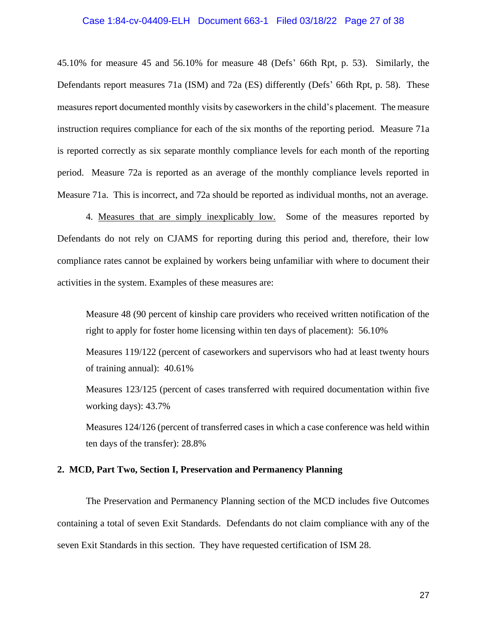#### Case 1:84-cv-04409-ELH Document 663-1 Filed 03/18/22 Page 27 of 38

45.10% for measure 45 and 56.10% for measure 48 (Defs' 66th Rpt, p. 53). Similarly, the Defendants report measures 71a (ISM) and 72a (ES) differently (Defs' 66th Rpt, p. 58). These measures report documented monthly visits by caseworkers in the child's placement. The measure instruction requires compliance for each of the six months of the reporting period. Measure 71a is reported correctly as six separate monthly compliance levels for each month of the reporting period. Measure 72a is reported as an average of the monthly compliance levels reported in Measure 71a. This is incorrect, and 72a should be reported as individual months, not an average.

4. Measures that are simply inexplicably low. Some of the measures reported by Defendants do not rely on CJAMS for reporting during this period and, therefore, their low compliance rates cannot be explained by workers being unfamiliar with where to document their activities in the system. Examples of these measures are:

Measure 48 (90 percent of kinship care providers who received written notification of the right to apply for foster home licensing within ten days of placement): 56.10%

Measures 119/122 (percent of caseworkers and supervisors who had at least twenty hours of training annual): 40.61%

Measures 123/125 (percent of cases transferred with required documentation within five working days): 43.7%

Measures 124/126 (percent of transferred cases in which a case conference was held within ten days of the transfer): 28.8%

## **2. MCD, Part Two, Section I, Preservation and Permanency Planning**

The Preservation and Permanency Planning section of the MCD includes five Outcomes containing a total of seven Exit Standards. Defendants do not claim compliance with any of the seven Exit Standards in this section. They have requested certification of ISM 28.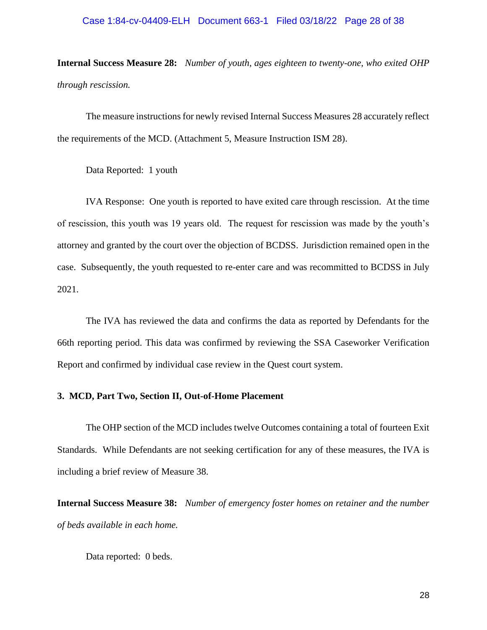#### Case 1:84-cv-04409-ELH Document 663-1 Filed 03/18/22 Page 28 of 38

**Internal Success Measure 28:** *Number of youth, ages eighteen to twenty-one, who exited OHP through rescission.* 

The measure instructions for newly revised Internal Success Measures 28 accurately reflect the requirements of the MCD. (Attachment 5, Measure Instruction ISM 28).

Data Reported: 1 youth

IVA Response: One youth is reported to have exited care through rescission. At the time of rescission, this youth was 19 years old. The request for rescission was made by the youth's attorney and granted by the court over the objection of BCDSS. Jurisdiction remained open in the case. Subsequently, the youth requested to re-enter care and was recommitted to BCDSS in July 2021.

The IVA has reviewed the data and confirms the data as reported by Defendants for the 66th reporting period. This data was confirmed by reviewing the SSA Caseworker Verification Report and confirmed by individual case review in the Quest court system.

# **3. MCD, Part Two, Section II, Out-of-Home Placement**

The OHP section of the MCD includes twelve Outcomes containing a total of fourteen Exit Standards. While Defendants are not seeking certification for any of these measures, the IVA is including a brief review of Measure 38.

**Internal Success Measure 38:** *Number of emergency foster homes on retainer and the number of beds available in each home.* 

Data reported: 0 beds.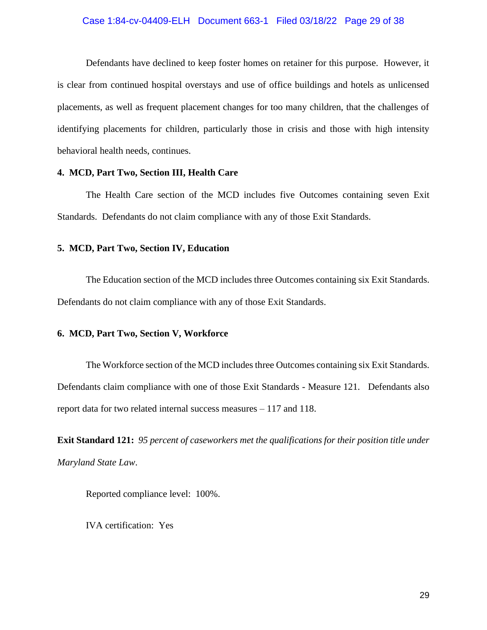## Case 1:84-cv-04409-ELH Document 663-1 Filed 03/18/22 Page 29 of 38

Defendants have declined to keep foster homes on retainer for this purpose. However, it is clear from continued hospital overstays and use of office buildings and hotels as unlicensed placements, as well as frequent placement changes for too many children, that the challenges of identifying placements for children, particularly those in crisis and those with high intensity behavioral health needs, continues.

## **4. MCD, Part Two, Section III, Health Care**

The Health Care section of the MCD includes five Outcomes containing seven Exit Standards. Defendants do not claim compliance with any of those Exit Standards.

#### **5. MCD, Part Two, Section IV, Education**

The Education section of the MCD includes three Outcomes containing six Exit Standards. Defendants do not claim compliance with any of those Exit Standards.

## **6. MCD, Part Two, Section V, Workforce**

The Workforce section of the MCD includes three Outcomes containing six Exit Standards. Defendants claim compliance with one of those Exit Standards - Measure 121. Defendants also report data for two related internal success measures – 117 and 118.

**Exit Standard 121:** *95 percent of caseworkers met the qualifications for their position title under Maryland State Law*.

Reported compliance level: 100%.

IVA certification: Yes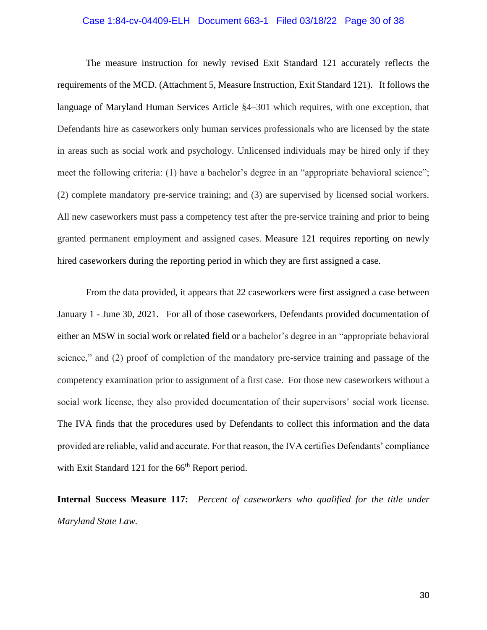#### Case 1:84-cv-04409-ELH Document 663-1 Filed 03/18/22 Page 30 of 38

 The measure instruction for newly revised Exit Standard 121 accurately reflects the requirements of the MCD. (Attachment 5, Measure Instruction, Exit Standard 121). It follows the language of Maryland Human Services Article §4–301 which requires, with one exception, that Defendants hire as caseworkers only human services professionals who are licensed by the state in areas such as social work and psychology. Unlicensed individuals may be hired only if they meet the following criteria: (1) have a bachelor's degree in an "appropriate behavioral science"; (2) complete mandatory pre-service training; and (3) are supervised by licensed social workers. All new caseworkers must pass a competency test after the pre-service training and prior to being granted permanent employment and assigned cases. Measure 121 requires reporting on newly hired caseworkers during the reporting period in which they are first assigned a case.

From the data provided, it appears that 22 caseworkers were first assigned a case between January 1 - June 30, 2021. For all of those caseworkers, Defendants provided documentation of either an MSW in social work or related field or a bachelor's degree in an "appropriate behavioral science," and (2) proof of completion of the mandatory pre-service training and passage of the competency examination prior to assignment of a first case. For those new caseworkers without a social work license, they also provided documentation of their supervisors' social work license. The IVA finds that the procedures used by Defendants to collect this information and the data provided are reliable, valid and accurate. For that reason, the IVA certifies Defendants' compliance with Exit Standard 121 for the 66<sup>th</sup> Report period.

**Internal Success Measure 117:** *Percent of caseworkers who qualified for the title under Maryland State Law.*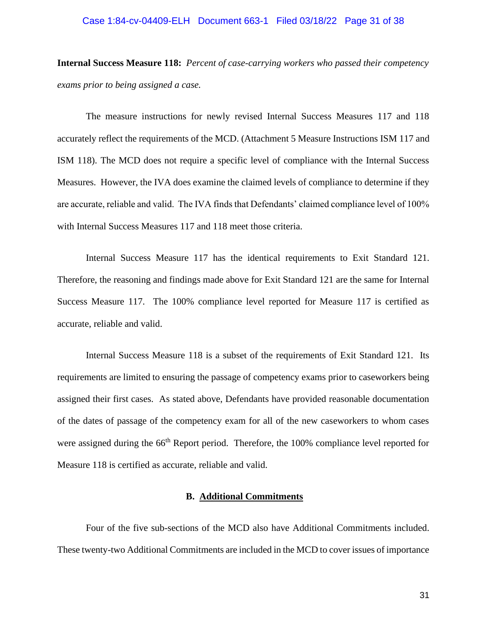#### Case 1:84-cv-04409-ELH Document 663-1 Filed 03/18/22 Page 31 of 38

**Internal Success Measure 118:** *Percent of case-carrying workers who passed their competency exams prior to being assigned a case.*

The measure instructions for newly revised Internal Success Measures 117 and 118 accurately reflect the requirements of the MCD. (Attachment 5 Measure Instructions ISM 117 and ISM 118). The MCD does not require a specific level of compliance with the Internal Success Measures. However, the IVA does examine the claimed levels of compliance to determine if they are accurate, reliable and valid. The IVA finds that Defendants' claimed compliance level of 100% with Internal Success Measures 117 and 118 meet those criteria.

Internal Success Measure 117 has the identical requirements to Exit Standard 121. Therefore, the reasoning and findings made above for Exit Standard 121 are the same for Internal Success Measure 117. The 100% compliance level reported for Measure 117 is certified as accurate, reliable and valid.

Internal Success Measure 118 is a subset of the requirements of Exit Standard 121. Its requirements are limited to ensuring the passage of competency exams prior to caseworkers being assigned their first cases. As stated above, Defendants have provided reasonable documentation of the dates of passage of the competency exam for all of the new caseworkers to whom cases were assigned during the 66<sup>th</sup> Report period. Therefore, the 100% compliance level reported for Measure 118 is certified as accurate, reliable and valid.

# **B. Additional Commitments**

 Four of the five sub-sections of the MCD also have Additional Commitments included. These twenty-two Additional Commitments are included in the MCD to cover issues of importance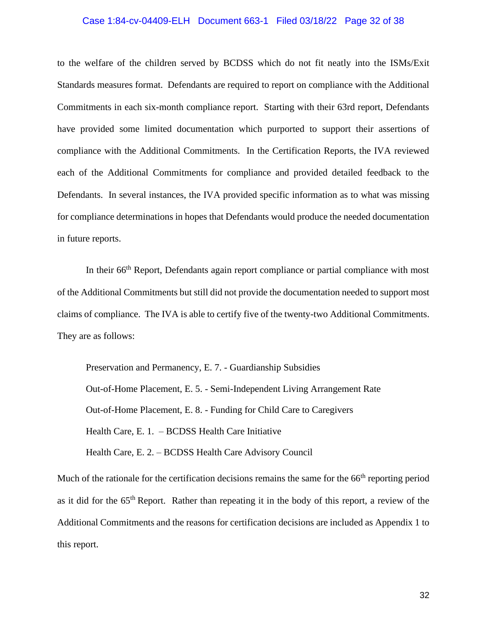#### Case 1:84-cv-04409-ELH Document 663-1 Filed 03/18/22 Page 32 of 38

to the welfare of the children served by BCDSS which do not fit neatly into the ISMs/Exit Standards measures format. Defendants are required to report on compliance with the Additional Commitments in each six-month compliance report. Starting with their 63rd report, Defendants have provided some limited documentation which purported to support their assertions of compliance with the Additional Commitments. In the Certification Reports, the IVA reviewed each of the Additional Commitments for compliance and provided detailed feedback to the Defendants. In several instances, the IVA provided specific information as to what was missing for compliance determinations in hopes that Defendants would produce the needed documentation in future reports.

In their 66<sup>th</sup> Report, Defendants again report compliance or partial compliance with most of the Additional Commitments but still did not provide the documentation needed to support most claims of compliance. The IVA is able to certify five of the twenty-two Additional Commitments. They are as follows:

Preservation and Permanency, E. 7. - Guardianship Subsidies Out-of-Home Placement, E. 5. - Semi-Independent Living Arrangement Rate Out-of-Home Placement, E. 8. - Funding for Child Care to Caregivers Health Care, E. 1. – BCDSS Health Care Initiative Health Care, E. 2. – BCDSS Health Care Advisory Council

Much of the rationale for the certification decisions remains the same for the 66<sup>th</sup> reporting period as it did for the 65<sup>th</sup> Report. Rather than repeating it in the body of this report, a review of the Additional Commitments and the reasons for certification decisions are included as Appendix 1 to this report.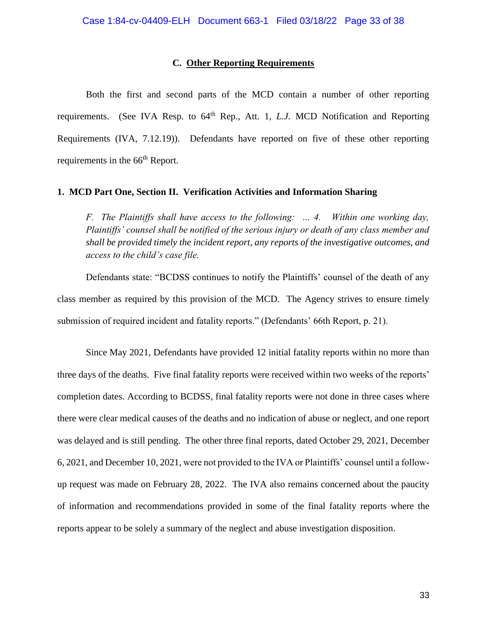#### **C. Other Reporting Requirements**

Both the first and second parts of the MCD contain a number of other reporting requirements. (See IVA Resp. to 64<sup>th</sup> Rep., Att. 1, *L.J.* MCD Notification and Reporting Requirements (IVA, 7.12.19)). Defendants have reported on five of these other reporting requirements in the 66<sup>th</sup> Report.

## **1. MCD Part One, Section II. Verification Activities and Information Sharing**

*F. The Plaintiffs shall have access to the following: … 4. Within one working day, Plaintiffs' counsel shall be notified of the serious injury or death of any class member and shall be provided timely the incident report, any reports of the investigative outcomes, and access to the child's case file.*

 Defendants state: "BCDSS continues to notify the Plaintiffs' counsel of the death of any class member as required by this provision of the MCD. The Agency strives to ensure timely submission of required incident and fatality reports." (Defendants' 66th Report, p. 21).

 Since May 2021, Defendants have provided 12 initial fatality reports within no more than three days of the deaths. Five final fatality reports were received within two weeks of the reports' completion dates. According to BCDSS, final fatality reports were not done in three cases where there were clear medical causes of the deaths and no indication of abuse or neglect, and one report was delayed and is still pending. The other three final reports, dated October 29, 2021, December 6, 2021, and December 10, 2021, were not provided to the IVA or Plaintiffs' counsel until a followup request was made on February 28, 2022. The IVA also remains concerned about the paucity of information and recommendations provided in some of the final fatality reports where the reports appear to be solely a summary of the neglect and abuse investigation disposition.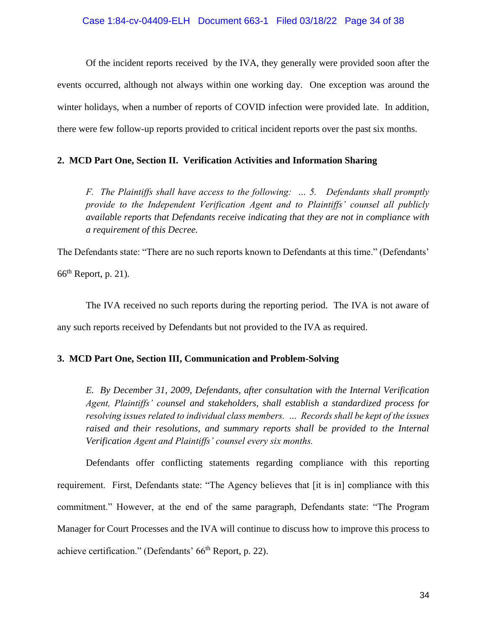Of the incident reports received by the IVA, they generally were provided soon after the events occurred, although not always within one working day. One exception was around the winter holidays, when a number of reports of COVID infection were provided late. In addition, there were few follow-up reports provided to critical incident reports over the past six months.

# **2. MCD Part One, Section II. Verification Activities and Information Sharing**

*F. The Plaintiffs shall have access to the following: … 5. Defendants shall promptly provide to the Independent Verification Agent and to Plaintiffs' counsel all publicly available reports that Defendants receive indicating that they are not in compliance with a requirement of this Decree.* 

The Defendants state: "There are no such reports known to Defendants at this time." (Defendants'  $66<sup>th</sup>$  Report, p. 21).

 The IVA received no such reports during the reporting period. The IVA is not aware of any such reports received by Defendants but not provided to the IVA as required.

# **3. MCD Part One, Section III, Communication and Problem-Solving**

*E. By December 31, 2009, Defendants, after consultation with the Internal Verification Agent, Plaintiffs' counsel and stakeholders, shall establish a standardized process for resolving issues related to individual class members. … Records shall be kept of the issues*  raised and their resolutions, and summary reports shall be provided to the Internal *Verification Agent and Plaintiffs' counsel every six months.*

Defendants offer conflicting statements regarding compliance with this reporting requirement. First, Defendants state: "The Agency believes that [it is in] compliance with this commitment." However, at the end of the same paragraph, Defendants state: "The Program Manager for Court Processes and the IVA will continue to discuss how to improve this process to achieve certification." (Defendants' 66<sup>th</sup> Report, p. 22).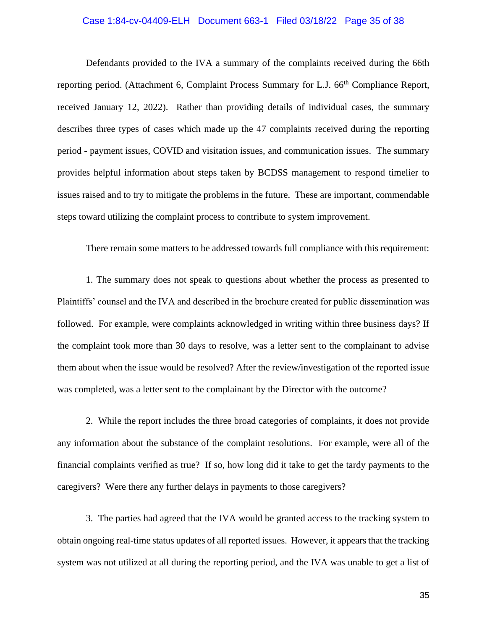## Case 1:84-cv-04409-ELH Document 663-1 Filed 03/18/22 Page 35 of 38

Defendants provided to the IVA a summary of the complaints received during the 66th reporting period. (Attachment 6, Complaint Process Summary for L.J. 66<sup>th</sup> Compliance Report, received January 12, 2022). Rather than providing details of individual cases, the summary describes three types of cases which made up the 47 complaints received during the reporting period - payment issues, COVID and visitation issues, and communication issues. The summary provides helpful information about steps taken by BCDSS management to respond timelier to issues raised and to try to mitigate the problems in the future. These are important, commendable steps toward utilizing the complaint process to contribute to system improvement.

There remain some matters to be addressed towards full compliance with this requirement:

1. The summary does not speak to questions about whether the process as presented to Plaintiffs' counsel and the IVA and described in the brochure created for public dissemination was followed. For example, were complaints acknowledged in writing within three business days? If the complaint took more than 30 days to resolve, was a letter sent to the complainant to advise them about when the issue would be resolved? After the review/investigation of the reported issue was completed, was a letter sent to the complainant by the Director with the outcome?

2. While the report includes the three broad categories of complaints, it does not provide any information about the substance of the complaint resolutions. For example, were all of the financial complaints verified as true? If so, how long did it take to get the tardy payments to the caregivers? Were there any further delays in payments to those caregivers?

3. The parties had agreed that the IVA would be granted access to the tracking system to obtain ongoing real-time status updates of all reported issues. However, it appears that the tracking system was not utilized at all during the reporting period, and the IVA was unable to get a list of

35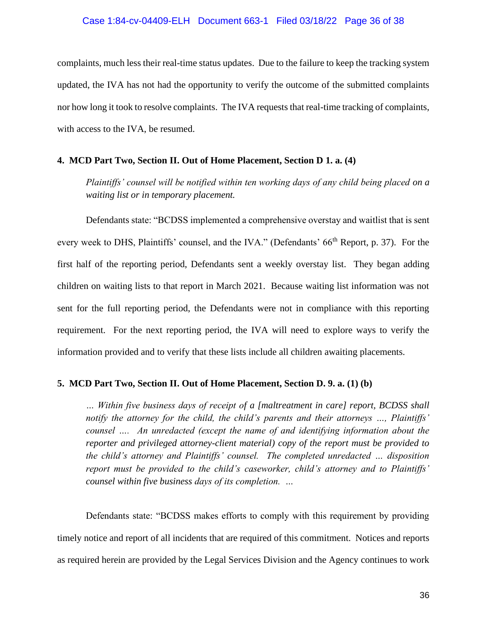# Case 1:84-cv-04409-ELH Document 663-1 Filed 03/18/22 Page 36 of 38

complaints, much less their real-time status updates. Due to the failure to keep the tracking system updated, the IVA has not had the opportunity to verify the outcome of the submitted complaints nor how long it took to resolve complaints. The IVA requests that real-time tracking of complaints, with access to the IVA, be resumed.

#### **4. MCD Part Two, Section II. Out of Home Placement, Section D 1. a. (4)**

*Plaintiffs' counsel will be notified within ten working days of any child being placed on a waiting list or in temporary placement.*

Defendants state: "BCDSS implemented a comprehensive overstay and waitlist that is sent every week to DHS, Plaintiffs' counsel, and the IVA." (Defendants' 66<sup>th</sup> Report, p. 37). For the first half of the reporting period, Defendants sent a weekly overstay list. They began adding children on waiting lists to that report in March 2021. Because waiting list information was not sent for the full reporting period, the Defendants were not in compliance with this reporting requirement. For the next reporting period, the IVA will need to explore ways to verify the information provided and to verify that these lists include all children awaiting placements.

## **5. MCD Part Two, Section II. Out of Home Placement, Section D. 9. a. (1) (b)**

*… Within five business days of receipt of a [maltreatment in care] report, BCDSS shall notify the attorney for the child, the child's parents and their attorneys …, Plaintiffs' counsel …. An unredacted (except the name of and identifying information about the reporter and privileged attorney-client material) copy of the report must be provided to the child's attorney and Plaintiffs' counsel. The completed unredacted … disposition report must be provided to the child's caseworker, child's attorney and to Plaintiffs' counsel within five business days of its completion. …* 

 Defendants state: "BCDSS makes efforts to comply with this requirement by providing timely notice and report of all incidents that are required of this commitment. Notices and reports as required herein are provided by the Legal Services Division and the Agency continues to work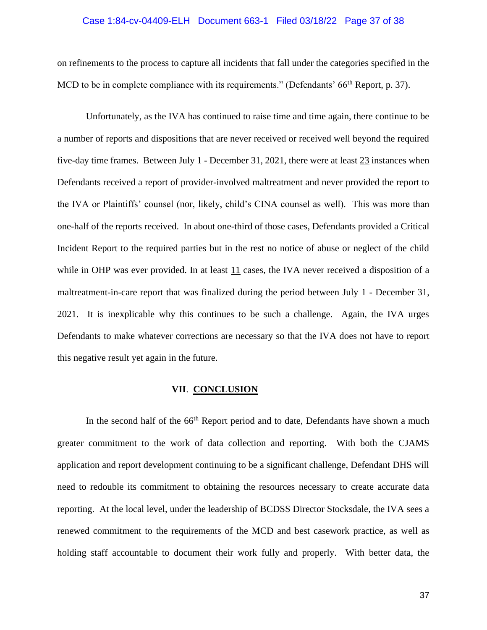#### Case 1:84-cv-04409-ELH Document 663-1 Filed 03/18/22 Page 37 of 38

on refinements to the process to capture all incidents that fall under the categories specified in the MCD to be in complete compliance with its requirements." (Defendants' 66<sup>th</sup> Report, p. 37).

 Unfortunately, as the IVA has continued to raise time and time again, there continue to be a number of reports and dispositions that are never received or received well beyond the required five-day time frames. Between July 1 - December 31, 2021, there were at least 23 instances when Defendants received a report of provider-involved maltreatment and never provided the report to the IVA or Plaintiffs' counsel (nor, likely, child's CINA counsel as well). This was more than one-half of the reports received. In about one-third of those cases, Defendants provided a Critical Incident Report to the required parties but in the rest no notice of abuse or neglect of the child while in OHP was ever provided. In at least 11 cases, the IVA never received a disposition of a maltreatment-in-care report that was finalized during the period between July 1 - December 31, 2021. It is inexplicable why this continues to be such a challenge. Again, the IVA urges Defendants to make whatever corrections are necessary so that the IVA does not have to report this negative result yet again in the future.

#### **VII**. **CONCLUSION**

In the second half of the  $66<sup>th</sup>$  Report period and to date, Defendants have shown a much greater commitment to the work of data collection and reporting. With both the CJAMS application and report development continuing to be a significant challenge, Defendant DHS will need to redouble its commitment to obtaining the resources necessary to create accurate data reporting. At the local level, under the leadership of BCDSS Director Stocksdale, the IVA sees a renewed commitment to the requirements of the MCD and best casework practice, as well as holding staff accountable to document their work fully and properly. With better data, the